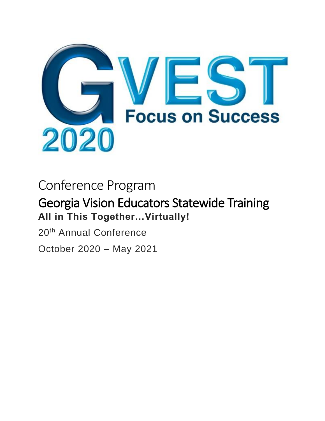

# Conference Program

# Georgia Vision Educators Statewide Training **All in This Together…Virtually!**

20th Annual Conference October 2020 – May 2021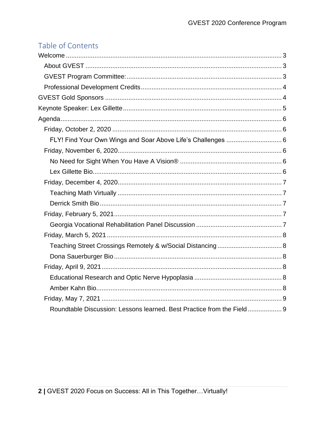# Table of Contents

| FLY! Find Your Own Wings and Soar Above Life's Challenges  6           |  |
|------------------------------------------------------------------------|--|
|                                                                        |  |
|                                                                        |  |
|                                                                        |  |
|                                                                        |  |
|                                                                        |  |
|                                                                        |  |
|                                                                        |  |
|                                                                        |  |
|                                                                        |  |
|                                                                        |  |
|                                                                        |  |
|                                                                        |  |
|                                                                        |  |
|                                                                        |  |
|                                                                        |  |
| Roundtable Discussion: Lessons learned. Best Practice from the Field 9 |  |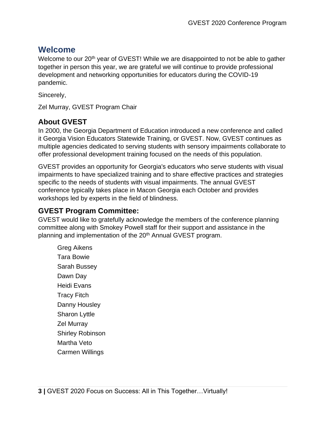# <span id="page-2-0"></span>**Welcome**

Welcome to our 20<sup>th</sup> year of GVEST! While we are disappointed to not be able to gather together in person this year, we are grateful we will continue to provide professional development and networking opportunities for educators during the COVID-19 pandemic.

Sincerely,

Zel Murray, GVEST Program Chair

# <span id="page-2-1"></span>**About GVEST**

In 2000, the Georgia Department of Education introduced a new conference and called it Georgia Vision Educators Statewide Training, or GVEST. Now, GVEST continues as multiple agencies dedicated to serving students with sensory impairments collaborate to offer professional development training focused on the needs of this population.

GVEST provides an opportunity for Georgia's educators who serve students with visual impairments to have specialized training and to share effective practices and strategies specific to the needs of students with visual impairments. The annual GVEST conference typically takes place in Macon Georgia each October and provides workshops led by experts in the field of blindness.

# <span id="page-2-2"></span>**GVEST Program Committee:**

GVEST would like to gratefully acknowledge the members of the conference planning committee along with Smokey Powell staff for their support and assistance in the planning and implementation of the 20<sup>th</sup> Annual GVEST program.

Greg Aikens Tara Bowie Sarah Bussey Dawn Day Heidi Evans Tracy Fitch Danny Housley Sharon Lyttle Zel Murray Shirley Robinson Martha Veto Carmen Willings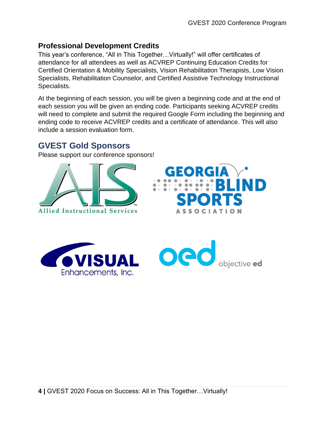## <span id="page-3-0"></span>**Professional Development Credits**

This year's conference, "All in This Together…Virtually!" will offer certificates of attendance for all attendees as well as ACVREP Continuing Education Credits for Certified Orientation & Mobility Specialists, Vision Rehabilitation Therapists, Low Vision Specialists, Rehabilitation Counselor, and Certified Assistive Technology Instructional Specialists.

At the beginning of each session, you will be given a beginning code and at the end of each session you will be given an ending code. Participants seeking ACVREP credits will need to complete and submit the required Google Form including the beginning and ending code to receive ACVREP credits and a certificate of attendance. This will also include a session evaluation form.

# <span id="page-3-1"></span>**GVEST Gold Sponsors**

Please support our conference sponsors!





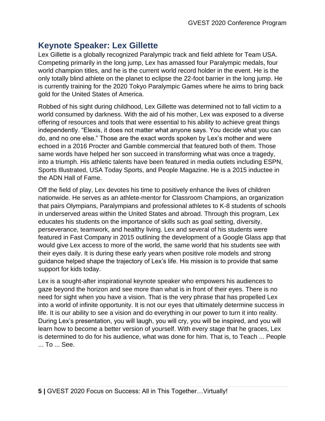# <span id="page-4-0"></span>**Keynote Speaker: Lex Gillette**

Lex Gillette is a globally recognized Paralympic track and field athlete for Team USA. Competing primarily in the long jump, Lex has amassed four Paralympic medals, four world champion titles, and he is the current world record holder in the event. He is the only totally blind athlete on the planet to eclipse the 22-foot barrier in the long jump. He is currently training for the 2020 Tokyo Paralympic Games where he aims to bring back gold for the United States of America.

Robbed of his sight during childhood, Lex Gillette was determined not to fall victim to a world consumed by darkness. With the aid of his mother, Lex was exposed to a diverse offering of resources and tools that were essential to his ability to achieve great things independently. "Elexis, it does not matter what anyone says. You decide what you can do, and no one else." Those are the exact words spoken by Lex's mother and were echoed in a 2016 Procter and Gamble commercial that featured both of them. Those same words have helped her son succeed in transforming what was once a tragedy, into a triumph. His athletic talents have been featured in media outlets including ESPN, Sports Illustrated, USA Today Sports, and People Magazine. He is a 2015 inductee in the ADN Hall of Fame.

Off the field of play, Lex devotes his time to positively enhance the lives of children nationwide. He serves as an athlete-mentor for Classroom Champions, an organization that pairs Olympians, Paralympians and professional athletes to K-8 students of schools in underserved areas within the United States and abroad. Through this program, Lex educates his students on the importance of skills such as goal setting, diversity, perseverance, teamwork, and healthy living. Lex and several of his students were featured in Fast Company in 2015 outlining the development of a Google Glass app that would give Lex access to more of the world, the same world that his students see with their eyes daily. It is during these early years when positive role models and strong guidance helped shape the trajectory of Lex's life. His mission is to provide that same support for kids today.

Lex is a sought-after inspirational keynote speaker who empowers his audiences to gaze beyond the horizon and see more than what is in front of their eyes. There is no need for sight when you have a vision. That is the very phrase that has propelled Lex into a world of infinite opportunity. It is not our eyes that ultimately determine success in life. It is our ability to see a vision and do everything in our power to turn it into reality. During Lex's presentation, you will laugh, you will cry, you will be inspired, and you will learn how to become a better version of yourself. With every stage that he graces, Lex is determined to do for his audience, what was done for him. That is, to Teach ... People ... To ... See.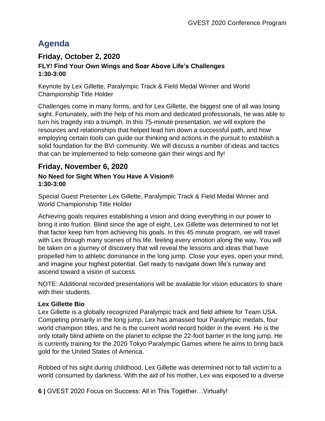# <span id="page-5-0"></span>**Agenda**

## <span id="page-5-2"></span><span id="page-5-1"></span>**Friday, October 2, 2020 FLY! Find Your Own Wings and Soar Above Life's Challenges 1:30-3:00**

Keynote by Lex Gillette, Paralympic Track & Field Medal Winner and World Championship Title Holder

Challenges come in many forms, and for Lex Gillette, the biggest one of all was losing sight. Fortunately, with the help of his mom and dedicated professionals, he was able to turn his tragedy into a triumph. In this 75-minute presentation, we will explore the resources and relationships that helped lead him down a successful path, and how employing certain tools can guide our thinking and actions in the pursuit to establish a solid foundation for the BVI community. We will discuss a number of ideas and tactics that can be implemented to help someone gain their wings and fly!

# <span id="page-5-3"></span>**Friday, November 6, 2020**

#### <span id="page-5-4"></span>**No Need for Sight When You Have A Vision® 1:30-3:00**

Special Guest Presenter Lex Gillette, Paralympic Track & Field Medal Winner and World Championship Title Holder

Achieving goals requires establishing a vision and doing everything in our power to bring it into fruition. Blind since the age of eight, Lex Gillette was determined to not let that factor keep him from achieving his goals. In this 45 minute program, we will travel with Lex through many scenes of his life, feeling every emotion along the way. You will be taken on a journey of discovery that will reveal the lessons and ideas that have propelled him to athletic dominance in the long jump. Close your eyes, open your mind, and imagine your highest potential. Get ready to navigate down life's runway and ascend toward a vision of success.

NOTE: Additional recorded presentations will be available for vision educators to share with their students.

#### <span id="page-5-5"></span>**Lex Gillette Bio**

Lex Gillette is a globally recognized Paralympic track and field athlete for Team USA. Competing primarily in the long jump, Lex has amassed four Paralympic medals, four world champion titles, and he is the current world record holder in the event. He is the only totally blind athlete on the planet to eclipse the 22-foot barrier in the long jump. He is currently training for the 2020 Tokyo Paralympic Games where he aims to bring back gold for the United States of America.

Robbed of his sight during childhood, Lex Gillette was determined not to fall victim to a world consumed by darkness. With the aid of his mother, Lex was exposed to a diverse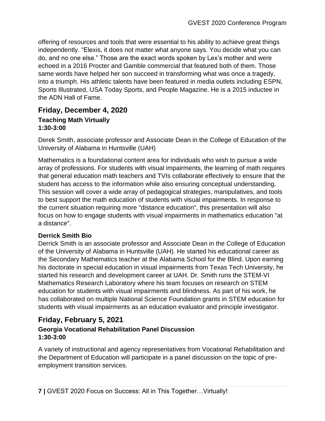offering of resources and tools that were essential to his ability to achieve great things independently. "Elexis, it does not matter what anyone says. You decide what you can do, and no one else." Those are the exact words spoken by Lex's mother and were echoed in a 2016 Procter and Gamble commercial that featured both of them. Those same words have helped her son succeed in transforming what was once a tragedy, into a triumph. His athletic talents have been featured in media outlets including ESPN, Sports Illustrated, USA Today Sports, and People Magazine. He is a 2015 inductee in the ADN Hall of Fame.

## <span id="page-6-1"></span><span id="page-6-0"></span>**Friday, December 4, 2020 Teaching Math Virtually 1:30-3:00**

Derek Smith, associate professor and Associate Dean in the College of Education of the University of Alabama in Huntsville (UAH)

Mathematics is a foundational content area for individuals who wish to pursue a wide array of professions. For students with visual impairments, the learning of math requires that general education math teachers and TVIs collaborate effectively to ensure that the student has access to the information while also ensuring conceptual understanding. This session will cover a wide array of pedagogical strategies, manipulatives, and tools to best support the math education of students with visual impairments. In response to the current situation requiring more "distance education", this presentation will also focus on how to engage students with visual impairments in mathematics education "at a distance".

#### <span id="page-6-2"></span>**Derrick Smith Bio**

Derrick Smith is an associate professor and Associate Dean in the College of Education of the University of Alabama in Huntsville (UAH). He started his educational career as the Secondary Mathematics teacher at the Alabama School for the Blind. Upon earning his doctorate in special education in visual impairments from Texas Tech University, he started his research and development career at UAH. Dr. Smith runs the STEM-VI Mathematics Research Laboratory where his team focuses on research on STEM education for students with visual impairments and blindness. As part of his work, he has collaborated on multiple National Science Foundation grants in STEM education for students with visual impairments as an education evaluator and principle investigator.

# <span id="page-6-3"></span>**Friday, February 5, 2021**

#### <span id="page-6-4"></span>**Georgia Vocational Rehabilitation Panel Discussion 1:30-3:00**

A variety of instructional and agency representatives from Vocational Rehabilitation and the Department of Education will participate in a panel discussion on the topic of preemployment transition services.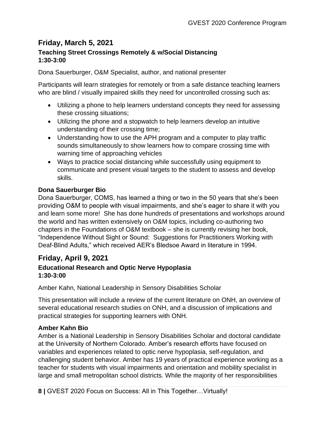## <span id="page-7-1"></span><span id="page-7-0"></span>**Friday, March 5, 2021 Teaching Street Crossings Remotely & w/Social Distancing 1:30-3:00**

Dona Sauerburger, O&M Specialist, author, and national presenter

Participants will learn strategies for remotely or from a safe distance teaching learners who are blind / visually impaired skills they need for uncontrolled crossing such as:

- Utilizing a phone to help learners understand concepts they need for assessing these crossing situations;
- Utilizing the phone and a stopwatch to help learners develop an intuitive understanding of their crossing time;
- Understanding how to use the APH program and a computer to play traffic sounds simultaneously to show learners how to compare crossing time with warning time of approaching vehicles
- Ways to practice social distancing while successfully using equipment to communicate and present visual targets to the student to assess and develop skills.

#### <span id="page-7-2"></span>**Dona Sauerburger Bio**

Dona Sauerburger, COMS, has learned a thing or two in the 50 years that she's been providing O&M to people with visual impairments, and she's eager to share it with you and learn some more! She has done hundreds of presentations and workshops around the world and has written extensively on O&M topics, including co-authoring two chapters in the Foundations of O&M textbook – she is currently revising her book, "Independence Without Sight or Sound: Suggestions for Practitioners Working with Deaf-Blind Adults," which received AER's Bledsoe Award in literature in 1994.

## <span id="page-7-3"></span>**Friday, April 9, 2021**

#### <span id="page-7-4"></span>**Educational Research and Optic Nerve Hypoplasia 1:30-3:00**

Amber Kahn, National Leadership in Sensory Disabilities Scholar

This presentation will include a review of the current literature on ONH, an overview of several educational research studies on ONH, and a discussion of implications and practical strategies for supporting learners with ONH.

#### <span id="page-7-5"></span>**Amber Kahn Bio**

Amber is a National Leadership in Sensory Disabilities Scholar and doctoral candidate at the University of Northern Colorado. Amber's research efforts have focused on variables and experiences related to optic nerve hypoplasia, self-regulation, and challenging student behavior. Amber has 19 years of practical experience working as a teacher for students with visual impairments and orientation and mobility specialist in large and small metropolitan school districts. While the majority of her responsibilities